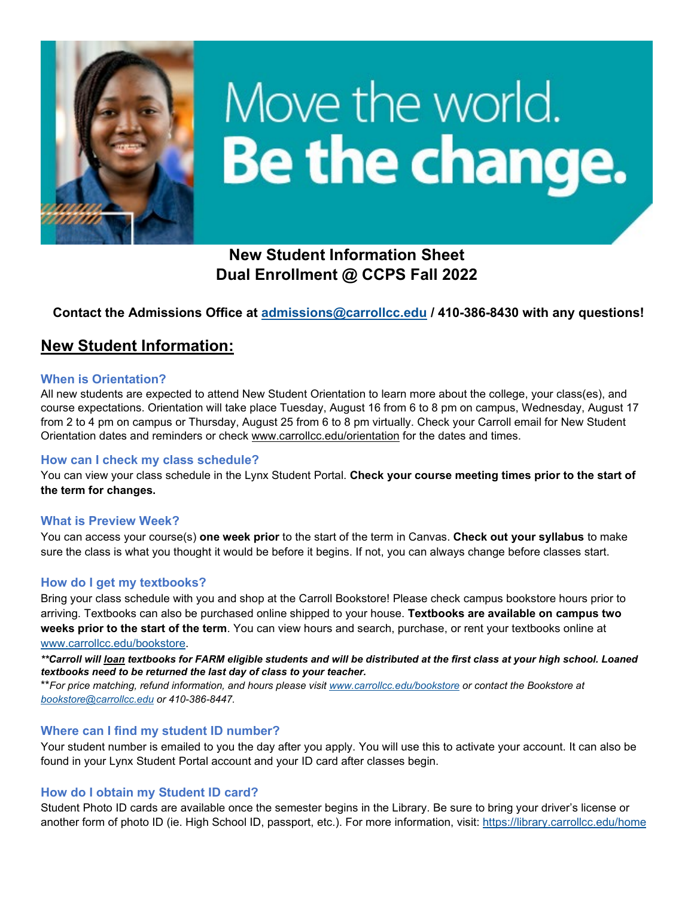

# Move the world. Be the change.

 **New Student Information Sheet Dual Enrollment @ CCPS Fall 2022** 

# **Contact the Admissions Office at [admissions@carrollcc.edu](mailto:admissions@carrollcc.edu) / 410-386-8430 with any questions!**

# **New Student Information:**

#### **When is Orientation?**

 All new students are expected to attend New Student Orientation to learn more about the college, your class(es), and course expectations. Orientation will take place Tuesday, August 16 from 6 to 8 pm on campus, Wednesday, August 17 from 2 to 4 pm on campus or Thursday, August 25 from 6 to 8 pm virtually. Check your Carroll email for New Student Orientation dates and reminders or check [www.carrollcc.edu/orientation](http://www.carrollcc.edu/orientation) for the dates and times.

## **How can I check my class schedule?**

You can view your class schedule in the Lynx Student Portal. **Check your course meeting times prior to the start of the term for changes.** 

## **What is Preview Week?**

 sure the class is what you thought it would be before it begins. If not, you can always change before classes start. You can access your course(s) **one week prior** to the start of the term in Canvas. **Check out your syllabus** to make

## **How do I get my textbooks?**

Bring your class schedule with you and shop at the Carroll Bookstore! Please check campus bookstore hours prior to arriving. Textbooks can also be purchased online shipped to your house. **Textbooks are available on campus two weeks prior to the start of the term**. You can view hours and search, purchase, or rent your textbooks online at [www.carrollcc.edu/bookstore.](http://www.carrollcc.edu/bookstore)

 *\*\*Carroll will loan textbooks for FARM eligible students and will be distributed at the first class at your high school. Loaned textbooks need to be returned the last day of class to your teacher.* 

 \*\**For price matching, refund information, and hours please visi[t www.carrollcc.edu/bookstore](http://www.carrollcc.edu/bookstore) or contact the Bookstore at [bookstore@carrollcc.edu](mailto:bookstore@carrollcc.edu) or 410-386-8447.* 

## **Where can I find my student ID number?**

 found in your Lynx Student Portal account and your ID card after classes begin. Your student number is emailed to you the day after you apply. You will use this to activate your account. It can also be

## **How do I obtain my Student ID card?**

another form of photo ID (ie. High School ID, passport, etc.). For more information, visit: <u>https://library.carrollcc.edu/home</u> Student Photo ID cards are available once the semester begins in the Library. Be sure to bring your driver's license or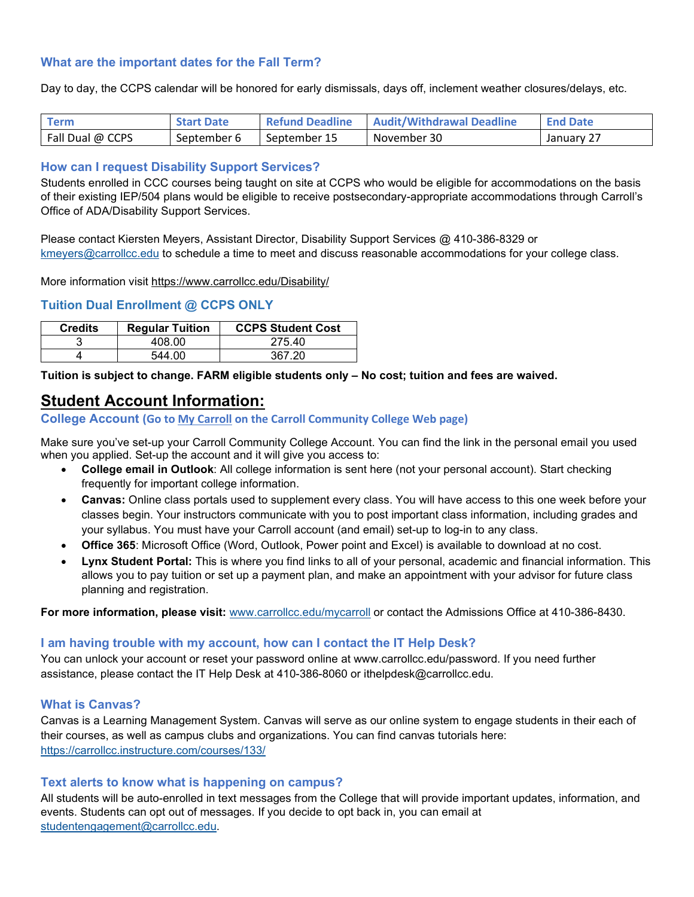# **What are the important dates for the Fall Term?**

Day to day, the CCPS calendar will be honored for early dismissals, days off, inclement weather closures/delays, etc.

| <b>Term</b>      | <b>Start Date</b> | <b>Refund Deadline</b> | <b>Audit/Withdrawal Deadline</b> | <b>End Date</b> |
|------------------|-------------------|------------------------|----------------------------------|-----------------|
| Fall Dual @ CCPS | September 6       | September 15           | November 30                      | January 27      |

## **How can I request Disability Support Services?**

 Office of ADA/Disability Support Services. Students enrolled in CCC courses being taught on site at CCPS who would be eligible for accommodations on the basis of their existing IEP/504 plans would be eligible to receive postsecondary-appropriate accommodations through Carroll's

 Please contact Kiersten Meyers, Assistant Director, Disability Support Services @ 410-386-8329 or [kmeyers@carrollcc.edu](mailto:kmeyers@carrollcc.edu) to schedule a time to meet and discuss reasonable accommodations for your college class.

More information visit<https://www.carrollcc.edu/Disability/>

# **Tuition Dual Enrollment @ CCPS ONLY**

| <b>Credits</b> | <b>Regular Tuition</b> | <b>CCPS Student Cost</b> |
|----------------|------------------------|--------------------------|
|                | 408.00                 | 275.40                   |
|                | 544.00                 | 367.20                   |

**Tuition is subject to change. FARM eligible students only – No cost; tuition and fees are waived.** 

# **Student Account Information:**

# **College Account (Go to My Carroll on the Carroll Community College Web page)**

Make sure you've set-up your Carroll Community College Account. You can find the link in the personal email you used when you applied. Set-up the account and it will give you access to:

- • **College email in Outlook**: All college information is sent here (not your personal account). Start checking frequently for important college information.
- classes begin. Your instructors communicate with you to post important class information, including grades and • **Canvas:** Online class portals used to supplement every class. You will have access to this one week before your your syllabus. You must have your Carroll account (and email) set-up to log-in to any class.
- **Office 365**: Microsoft Office (Word, Outlook, Power point and Excel) is available to download at no cost.
- • **Lynx Student Portal:** This is where you find links to all of your personal, academic and financial information. This allows you to pay tuition or set up a payment plan, and make an appointment with your advisor for future class planning and registration.

**For more information, please visit:** [www.carrollcc.edu/mycarroll](http://www.carrollcc.edu/mycarroll) or contact the Admissions Office at 410-386-8430.

## **I am having trouble with my account, how can I contact the IT Help Desk?**

You can unlock your account or reset your password online at [www.carrollcc.edu/password.](http://www.carrollcc.edu/password) If you need further assistance, please contact the IT Help Desk at 410-386-8060 or [ithelpdesk@carrollcc.edu.](mailto:ithelpdesk@carrollcc.edu)

## **What is Canvas?**

 their courses, as well as campus clubs and organizations. You can find canvas tutorials here: <https://carrollcc.instructure.com/courses/133/>Canvas is a Learning Management System. Canvas will serve as our online system to engage students in their each of

#### **Text alerts to know what is happening on campus?**

 events. Students can opt out of messages. If you decide to opt back in, you can email at All students will be auto-enrolled in text messages from the College that will provide important updates, information, and [studentengagement@carrollcc.edu.](mailto:studentengagement@carrollcc.edu)